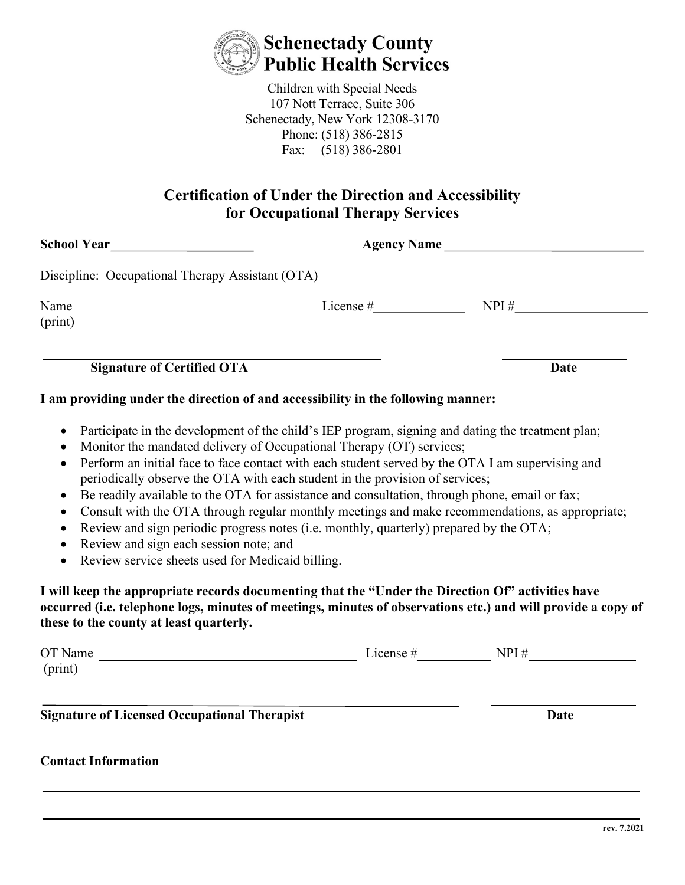

Children with Special Needs 107 Nott Terrace, Suite 306 Schenectady, New York 12308-3170 Phone: (518) 386-2815 Fax: (518) 386-2801

## **Certification of Under the Direction and Accessibility for Occupational Therapy Services**

|                                                                                                                                                                                                                     | Agency Name                                                                                                                                                                                                                                                                                                                                                                                                                                                                                                                                                                                                                                                                                                                                                                                                                                                                      |      |  |  |
|---------------------------------------------------------------------------------------------------------------------------------------------------------------------------------------------------------------------|----------------------------------------------------------------------------------------------------------------------------------------------------------------------------------------------------------------------------------------------------------------------------------------------------------------------------------------------------------------------------------------------------------------------------------------------------------------------------------------------------------------------------------------------------------------------------------------------------------------------------------------------------------------------------------------------------------------------------------------------------------------------------------------------------------------------------------------------------------------------------------|------|--|--|
| Discipline: Occupational Therapy Assistant (OTA)                                                                                                                                                                    |                                                                                                                                                                                                                                                                                                                                                                                                                                                                                                                                                                                                                                                                                                                                                                                                                                                                                  |      |  |  |
| Name<br>(print)                                                                                                                                                                                                     |                                                                                                                                                                                                                                                                                                                                                                                                                                                                                                                                                                                                                                                                                                                                                                                                                                                                                  |      |  |  |
|                                                                                                                                                                                                                     |                                                                                                                                                                                                                                                                                                                                                                                                                                                                                                                                                                                                                                                                                                                                                                                                                                                                                  |      |  |  |
| <b>Signature of Certified OTA</b>                                                                                                                                                                                   |                                                                                                                                                                                                                                                                                                                                                                                                                                                                                                                                                                                                                                                                                                                                                                                                                                                                                  | Date |  |  |
|                                                                                                                                                                                                                     | I am providing under the direction of and accessibility in the following manner:                                                                                                                                                                                                                                                                                                                                                                                                                                                                                                                                                                                                                                                                                                                                                                                                 |      |  |  |
| $\bullet$<br>$\bullet$<br>$\bullet$<br>$\bullet$<br>Review and sign each session note; and<br>$\bullet$<br>Review service sheets used for Medicaid billing.<br>$\bullet$<br>these to the county at least quarterly. | Participate in the development of the child's IEP program, signing and dating the treatment plan;<br>Monitor the mandated delivery of Occupational Therapy (OT) services;<br>Perform an initial face to face contact with each student served by the OTA I am supervising and<br>periodically observe the OTA with each student in the provision of services;<br>Be readily available to the OTA for assistance and consultation, through phone, email or fax;<br>Consult with the OTA through regular monthly meetings and make recommendations, as appropriate;<br>Review and sign periodic progress notes (i.e. monthly, quarterly) prepared by the OTA;<br>I will keep the appropriate records documenting that the "Under the Direction Of" activities have<br>occurred (i.e. telephone logs, minutes of meetings, minutes of observations etc.) and will provide a copy of |      |  |  |
| (print)                                                                                                                                                                                                             | OT Name $\frac{1}{\sqrt{1-\frac{1}{2}}\sqrt{1-\frac{1}{2}}\sqrt{1-\frac{1}{2}}\sqrt{1-\frac{1}{2}}\sqrt{1-\frac{1}{2}}\sqrt{1-\frac{1}{2}}\sqrt{1-\frac{1}{2}}\sqrt{1-\frac{1}{2}}\sqrt{1-\frac{1}{2}}\sqrt{1-\frac{1}{2}}\sqrt{1-\frac{1}{2}}\sqrt{1-\frac{1}{2}}\sqrt{1-\frac{1}{2}}\sqrt{1-\frac{1}{2}}\sqrt{1-\frac{1}{2}}\sqrt{1-\frac{1}{2}}\sqrt{1-\frac{1}{2}}\sqrt{1-\frac{1}{2}}\sqrt{1-\frac{1}{$                                                                                                                                                                                                                                                                                                                                                                                                                                                                     |      |  |  |
|                                                                                                                                                                                                                     |                                                                                                                                                                                                                                                                                                                                                                                                                                                                                                                                                                                                                                                                                                                                                                                                                                                                                  |      |  |  |
| <b>Signature of Licensed Occupational Therapist</b>                                                                                                                                                                 |                                                                                                                                                                                                                                                                                                                                                                                                                                                                                                                                                                                                                                                                                                                                                                                                                                                                                  | Date |  |  |
| <b>Contact Information</b>                                                                                                                                                                                          |                                                                                                                                                                                                                                                                                                                                                                                                                                                                                                                                                                                                                                                                                                                                                                                                                                                                                  |      |  |  |